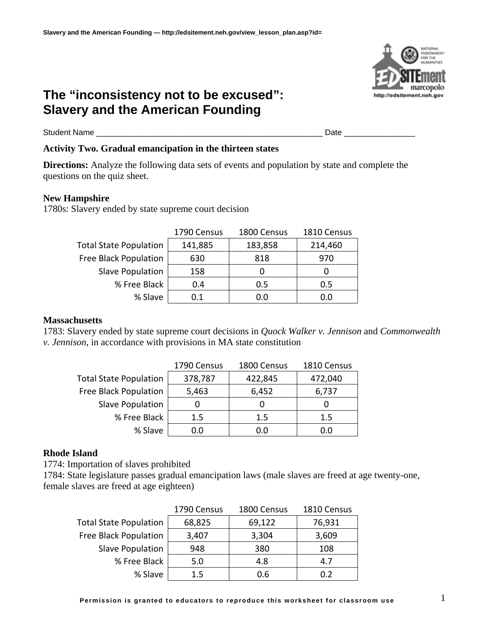# **The "inconsistency not to be excused": Slavery and the American Founding**

Student Name \_\_\_\_\_\_\_\_\_\_\_\_\_\_\_\_\_\_\_\_\_\_\_\_\_\_\_\_\_\_\_\_\_\_\_\_\_\_\_\_\_\_\_\_\_\_\_\_\_\_\_ Date \_\_\_\_\_\_\_\_\_\_\_\_\_\_\_\_

### **Activity Two. Gradual emancipation in the thirteen states**

**Directions:** Analyze the following data sets of events and population by state and complete the questions on the quiz sheet.

#### **New Hampshire**

1780s: Slavery ended by state supreme court decision

|                               | 1790 Census | 1800 Census | 1810 Census |
|-------------------------------|-------------|-------------|-------------|
| <b>Total State Population</b> | 141,885     | 183,858     | 214,460     |
| Free Black Population         | 630         | 818         | 970         |
| Slave Population              | 158         |             |             |
| % Free Black                  | 0.4         | 0.5         | 0.5         |
| % Slave                       | 0.1         | 0.0         | 0.0         |

#### **Massachusetts**

1783: Slavery ended by state supreme court decisions in *Quock Walker v. Jennison* and *Commonwealth v. Jennison*, in accordance with provisions in MA state constitution

|                               | 1790 Census | 1800 Census | 1810 Census |
|-------------------------------|-------------|-------------|-------------|
| <b>Total State Population</b> | 378,787     | 422,845     | 472,040     |
| Free Black Population         | 5,463       | 6,452       | 6,737       |
| Slave Population              |             |             |             |
| % Free Black                  | 1.5         | 1.5         | 1.5         |
| % Slave                       | 0.0         | 0.0         | 0.0         |

### **Rhode Island**

1774: Importation of slaves prohibited

1784: State legislature passes gradual emancipation laws (male slaves are freed at age twenty-one, female slaves are freed at age eighteen)

|                               | 1790 Census | 1800 Census | 1810 Census |
|-------------------------------|-------------|-------------|-------------|
| <b>Total State Population</b> | 68,825      | 69,122      | 76,931      |
| Free Black Population         | 3,407       | 3,304       | 3,609       |
| Slave Population              | 948         | 380         | 108         |
| % Free Black                  | 5.0         | 4.8         | 4.7         |
| % Slave                       | 1.5         | 0.6         | 0.2         |

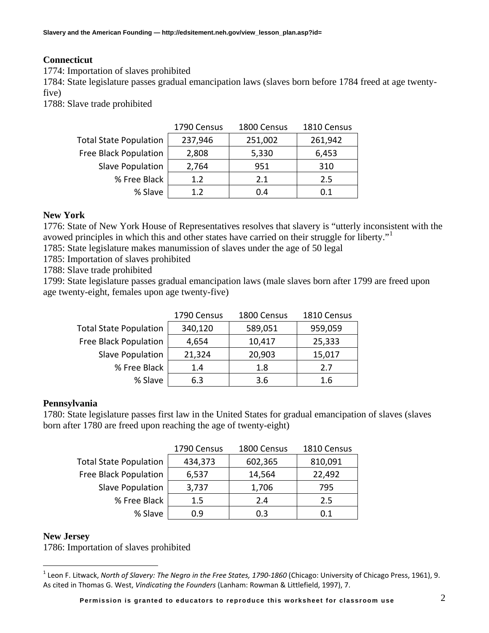## **Connecticut**

1774: Importation of slaves prohibited

1784: State legislature passes gradual emancipation laws (slaves born before 1784 freed at age twentyfive)

1788: Slave trade prohibited

|                               | 1790 Census | 1800 Census | 1810 Census |
|-------------------------------|-------------|-------------|-------------|
| <b>Total State Population</b> | 237,946     | 251,002     | 261,942     |
| Free Black Population         | 2,808       | 5,330       | 6,453       |
| Slave Population              | 2,764       | 951         | 310         |
| % Free Black                  | 1.2         | 2.1         | 2.5         |
| % Slave                       | 1.2         | 0.4         | 0.1         |

### **New York**

1776: State of New York House of Representatives resolves that slavery is "utterly inconsistent with the avowed principles in which this and other states have carried on their struggle for liberty."[1](#page-1-0)

1785: State legislature makes manumission of slaves under the age of 50 legal

1785: Importation of slaves prohibited

1788: Slave trade prohibited

1799: State legislature passes gradual emancipation laws (male slaves born after 1799 are freed upon age twenty-eight, females upon age twenty-five)

|                               | 1790 Census | 1800 Census | 1810 Census |
|-------------------------------|-------------|-------------|-------------|
| <b>Total State Population</b> | 340,120     | 589,051     | 959,059     |
| <b>Free Black Population</b>  | 4,654       | 10,417      | 25,333      |
| Slave Population              | 21,324      | 20,903      | 15,017      |
| % Free Black                  | 1.4         | 1.8         | 2.7         |
| % Slave                       | 6.3         | 3.6         | 1.6         |

#### **Pennsylvania**

1780: State legislature passes first law in the United States for gradual emancipation of slaves (slaves born after 1780 are freed upon reaching the age of twenty-eight)

|                               | 1790 Census | 1800 Census | 1810 Census |
|-------------------------------|-------------|-------------|-------------|
| <b>Total State Population</b> | 434,373     | 602,365     | 810,091     |
| Free Black Population         | 6,537       | 14,564      | 22,492      |
| Slave Population              | 3,737       | 1,706       | 795         |
| % Free Black                  | $1.5\,$     | 2.4         | 2.5         |
| % Slave                       | 0.9         | 0.3         | 0.1         |

#### **New Jersey**

 $\overline{a}$ 

1786: Importation of slaves prohibited

<span id="page-1-0"></span><sup>1</sup> Leon F. Litwack, *North of Slavery: The Negro in the Free States, 1790‐1860* (Chicago: University of Chicago Press, 1961), 9. As cited in Thomas G. West, *Vindicating the Founders* (Lanham: Rowman & Littlefield, 1997), 7.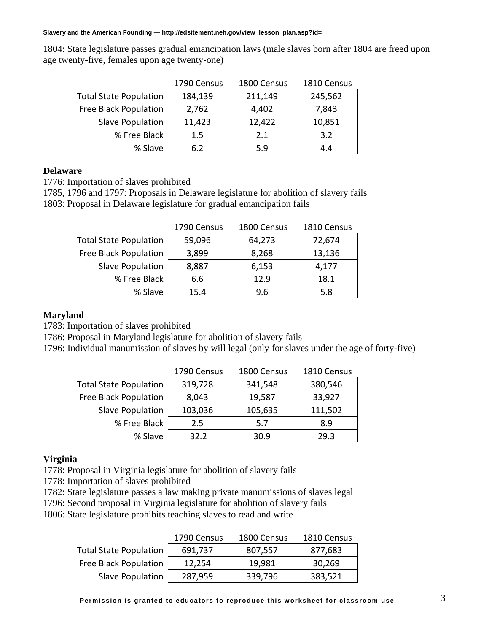**Slavery and the American Founding — http://edsitement.neh.gov/view\_lesson\_plan.asp?id=** 

1804: State legislature passes gradual emancipation laws (male slaves born after 1804 are freed upon age twenty-five, females upon age twenty-one)

|                               | 1790 Census | 1800 Census | 1810 Census |
|-------------------------------|-------------|-------------|-------------|
| <b>Total State Population</b> | 184,139     | 211,149     | 245,562     |
| Free Black Population         | 2,762       | 4,402       | 7,843       |
| Slave Population              | 11,423      | 12,422      | 10,851      |
| % Free Black                  | 1.5         | 2.1         | 3.2         |
| % Slave                       | 6.2         | 5.9         | 4.4         |

#### **Delaware**

1776: Importation of slaves prohibited

1785, 1796 and 1797: Proposals in Delaware legislature for abolition of slavery fails 1803: Proposal in Delaware legislature for gradual emancipation fails

|                               | 1790 Census | 1800 Census | 1810 Census |
|-------------------------------|-------------|-------------|-------------|
| <b>Total State Population</b> | 59,096      | 64,273      | 72,674      |
| Free Black Population         | 3,899       | 8,268       | 13,136      |
| Slave Population              | 8,887       | 6,153       | 4,177       |
| % Free Black                  | 6.6         | 12.9        | 18.1        |
| % Slave                       | 15.4        | 9.6         | 5.8         |

#### **Maryland**

1783: Importation of slaves prohibited

1786: Proposal in Maryland legislature for abolition of slavery fails

1796: Individual manumission of slaves by will legal (only for slaves under the age of forty-five)

|                               | 1790 Census | 1800 Census | 1810 Census |
|-------------------------------|-------------|-------------|-------------|
| <b>Total State Population</b> | 319,728     | 341,548     | 380,546     |
| <b>Free Black Population</b>  | 8,043       | 19,587      | 33,927      |
| <b>Slave Population</b>       | 103,036     | 105,635     | 111,502     |
| % Free Black                  | 2.5         | 5.7         | 8.9         |
| % Slave                       | 32.2        | 30.9        | 29.3        |

#### **Virginia**

1778: Proposal in Virginia legislature for abolition of slavery fails

- 1778: Importation of slaves prohibited
- 1782: State legislature passes a law making private manumissions of slaves legal
- 1796: Second proposal in Virginia legislature for abolition of slavery fails
- 1806: State legislature prohibits teaching slaves to read and write

|                               | 1790 Census | 1800 Census | 1810 Census |
|-------------------------------|-------------|-------------|-------------|
| <b>Total State Population</b> | 691,737     | 807,557     | 877,683     |
| <b>Free Black Population</b>  | 12,254      | 19,981      | 30,269      |
| Slave Population              | 287,959     | 339,796     | 383,521     |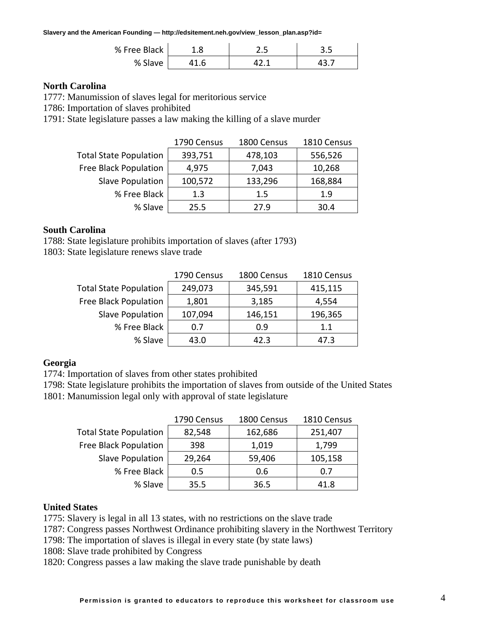**Slavery and the American Founding — http://edsitement.neh.gov/view\_lesson\_plan.asp?id=** 

| % Free Black | د.د | ر.ر |
|--------------|-----|-----|
| % Slave      |     |     |

#### **North Carolina**

1777: Manumission of slaves legal for meritorious service

1786: Importation of slaves prohibited

1791: State legislature passes a law making the killing of a slave murder

|                               | 1790 Census | 1800 Census | 1810 Census |
|-------------------------------|-------------|-------------|-------------|
| <b>Total State Population</b> | 393,751     | 478,103     | 556,526     |
| Free Black Population         | 4,975       | 7,043       | 10,268      |
| Slave Population              | 100,572     | 133,296     | 168,884     |
| % Free Black                  | 1.3         | $1.5\,$     | 1.9         |
| % Slave                       | 25.5        | 27.9        | 30.4        |

#### **South Carolina**

1788: State legislature prohibits importation of slaves (after 1793)

1803: State legislature renews slave trade

|                               | 1790 Census | 1800 Census | 1810 Census |
|-------------------------------|-------------|-------------|-------------|
| <b>Total State Population</b> | 249,073     | 345,591     | 415,115     |
| <b>Free Black Population</b>  | 1,801       | 3,185       | 4,554       |
| Slave Population              | 107,094     | 146,151     | 196,365     |
| % Free Black                  | 0.7         | 0.9         | 1.1         |
| % Slave                       | 43.0        | 42.3        | 47.3        |

#### **Georgia**

1774: Importation of slaves from other states prohibited

1798: State legislature prohibits the importation of slaves from outside of the United States 1801: Manumission legal only with approval of state legislature

|                               | 1790 Census | 1800 Census | 1810 Census |
|-------------------------------|-------------|-------------|-------------|
| <b>Total State Population</b> | 82,548      | 162,686     | 251,407     |
| Free Black Population         | 398         | 1,019       | 1,799       |
| Slave Population              | 29,264      | 59,406      | 105,158     |
| % Free Black                  | 0.5         | 0.6         | 0.7         |
| % Slave                       | 35.5        | 36.5        | 41.8        |

#### **United States**

1775: Slavery is legal in all 13 states, with no restrictions on the slave trade

1787: Congress passes Northwest Ordinance prohibiting slavery in the Northwest Territory

1798: The importation of slaves is illegal in every state (by state laws)

1808: Slave trade prohibited by Congress

1820: Congress passes a law making the slave trade punishable by death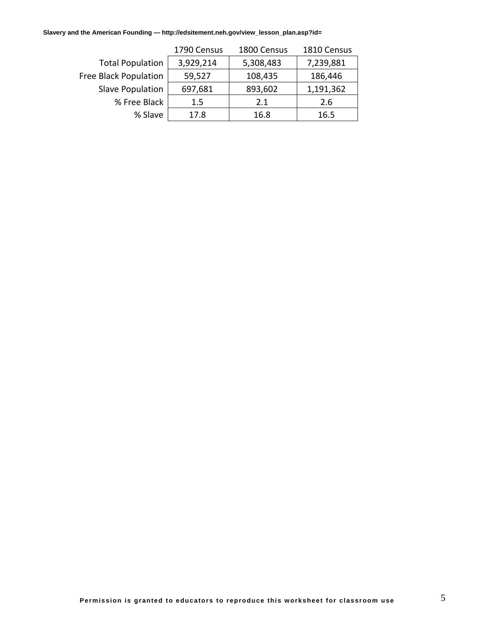**Slavery and the American Founding — http://edsitement.neh.gov/view\_lesson\_plan.asp?id=** 

|                         | 1790 Census | 1800 Census | 1810 Census |
|-------------------------|-------------|-------------|-------------|
| <b>Total Population</b> | 3,929,214   | 5,308,483   | 7,239,881   |
| Free Black Population   | 59,527      | 108,435     | 186,446     |
| Slave Population        | 697,681     | 893,602     | 1,191,362   |
| % Free Black            | 1.5         | 2.1         | 2.6         |
| % Slave                 | 17.8        | 16.8        | 16.5        |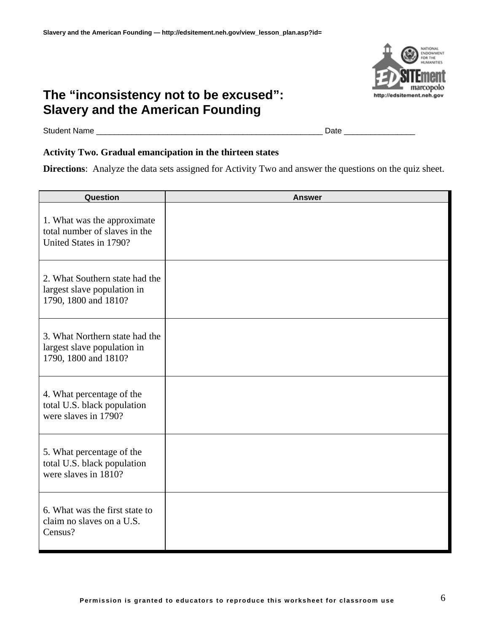# **The "inconsistency not to be excused": Slavery and the American Founding**



Student Name \_\_\_\_\_\_\_\_\_\_\_\_\_\_\_\_\_\_\_\_\_\_\_\_\_\_\_\_\_\_\_\_\_\_\_\_\_\_\_\_\_\_\_\_\_\_\_\_\_\_\_ Date \_\_\_\_\_\_\_\_\_\_\_\_\_\_\_\_

# **Activity Two. Gradual emancipation in the thirteen states**

**Directions**: Analyze the data sets assigned for Activity Two and answer the questions on the quiz sheet.

| Question                                                                               | <b>Answer</b> |
|----------------------------------------------------------------------------------------|---------------|
| 1. What was the approximate<br>total number of slaves in the<br>United States in 1790? |               |
| 2. What Southern state had the<br>largest slave population in<br>1790, 1800 and 1810?  |               |
| 3. What Northern state had the<br>largest slave population in<br>1790, 1800 and 1810?  |               |
| 4. What percentage of the<br>total U.S. black population<br>were slaves in 1790?       |               |
| 5. What percentage of the<br>total U.S. black population<br>were slaves in 1810?       |               |
| 6. What was the first state to<br>claim no slaves on a U.S.<br>Census?                 |               |